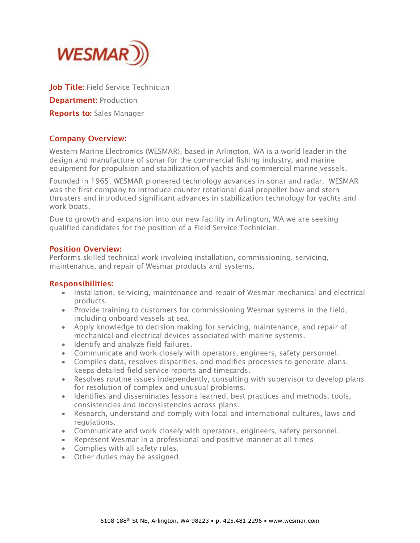

Job Title: Field Service Technician **Department: Production** Reports to: Sales Manager

## Company Overview:

Western Marine Electronics (WESMAR), based in Arlington, WA is a world leader in the design and manufacture of sonar for the commercial fishing industry, and marine equipment for propulsion and stabilization of yachts and commercial marine vessels.

Founded in 1965, WESMAR pioneered technology advances in sonar and radar. WESMAR was the first company to introduce counter rotational dual propeller bow and stern thrusters and introduced significant advances in stabilization technology for yachts and work boats.

Due to growth and expansion into our new facility in Arlington, WA we are seeking qualified candidates for the position of a Field Service Technician.

#### Position Overview:

Performs skilled technical work involving installation, commissioning, servicing, maintenance, and repair of Wesmar products and systems.

#### Responsibilities:

- Installation, servicing, maintenance and repair of Wesmar mechanical and electrical products.
- Provide training to customers for commissioning Wesmar systems in the field, including onboard vessels at sea.
- Apply knowledge to decision making for servicing, maintenance, and repair of mechanical and electrical devices associated with marine systems.
- Identify and analyze field failures.
- Communicate and work closely with operators, engineers, safety personnel.
- Compiles data, resolves disparities, and modifies processes to generate plans, keeps detailed field service reports and timecards.
- Resolves routine issues independently, consulting with supervisor to develop plans for resolution of complex and unusual problems.
- Identifies and disseminates lessons learned, best practices and methods, tools, consistencies and inconsistencies across plans.
- Research, understand and comply with local and international cultures, laws and regulations.
- Communicate and work closely with operators, engineers, safety personnel.
- Represent Wesmar in a professional and positive manner at all times
- Complies with all safety rules.
- Other duties may be assigned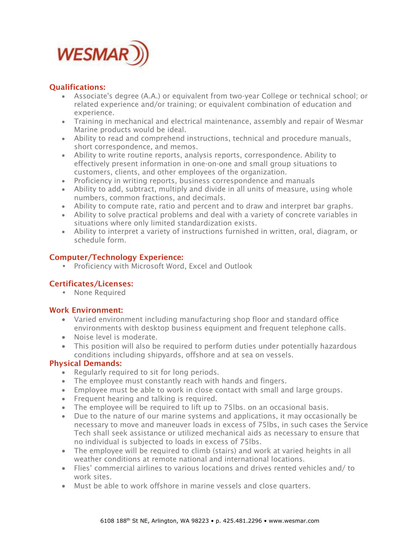

# Qualifications:

- Associate's degree (A.A.) or equivalent from two-year College or technical school; or related experience and/or training; or equivalent combination of education and experience.
- Training in mechanical and electrical maintenance, assembly and repair of Wesmar Marine products would be ideal.
- Ability to read and comprehend instructions, technical and procedure manuals, short correspondence, and memos.
- Ability to write routine reports, analysis reports, correspondence. Ability to effectively present information in one-on-one and small group situations to customers, clients, and other employees of the organization.
- Proficiency in writing reports, business correspondence and manuals
- Ability to add, subtract, multiply and divide in all units of measure, using whole numbers, common fractions, and decimals.
- Ability to compute rate, ratio and percent and to draw and interpret bar graphs.
- Ability to solve practical problems and deal with a variety of concrete variables in situations where only limited standardization exists.
- Ability to interpret a variety of instructions furnished in written, oral, diagram, or schedule form.

## Computer/Technology Experience:

• Proficiency with Microsoft Word, Excel and Outlook

## Certificates/Licenses:

• None Required

## Work Environment:

- Varied environment including manufacturing shop floor and standard office environments with desktop business equipment and frequent telephone calls.
- Noise level is moderate.
- This position will also be required to perform duties under potentially hazardous conditions including shipyards, offshore and at sea on vessels.

## Physical Demands:

- Regularly required to sit for long periods.
- The employee must constantly reach with hands and fingers.
- Employee must be able to work in close contact with small and large groups.
- Frequent hearing and talking is required.
- The employee will be required to lift up to 75lbs. on an occasional basis.
- Due to the nature of our marine systems and applications, it may occasionally be necessary to move and maneuver loads in excess of 75lbs, in such cases the Service Tech shall seek assistance or utilized mechanical aids as necessary to ensure that no individual is subjected to loads in excess of 75lbs.
- The employee will be required to climb (stairs) and work at varied heights in all weather conditions at remote national and international locations.
- Flies' commercial airlines to various locations and drives rented vehicles and/ to work sites.
- Must be able to work offshore in marine vessels and close quarters.